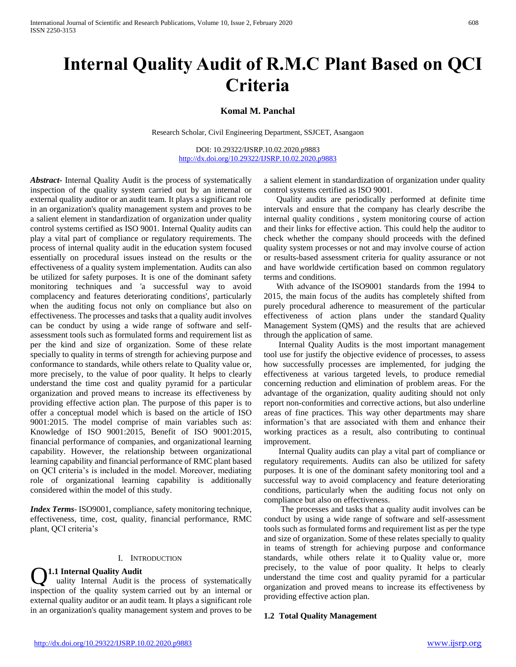# **Internal Quality Audit of R.M.C Plant Based on QCI Criteria**

## **Komal M. Panchal**

Research Scholar, Civil Engineering Department, SSJCET, Asangaon

DOI: 10.29322/IJSRP.10.02.2020.p9883 <http://dx.doi.org/10.29322/IJSRP.10.02.2020.p9883>

*Abstract***-** Internal Quality Audit is the process of systematically inspection of the quality system carried out by an internal or external quality auditor or an audit team. It plays a significant role in an organization's quality management system and proves to be a salient element in standardization of organization under quality control systems certified as ISO 9001. Internal Quality audits can play a vital part of compliance or regulatory requirements. The process of internal quality audit in the education system focused essentially on procedural issues instead on the results or the effectiveness of a quality system implementation. Audits can also be utilized for safety purposes. It is one of the dominant safety monitoring techniques and 'a successful way to avoid complacency and features deteriorating conditions', particularly when the auditing focus not only on compliance but also on effectiveness. The processes and tasks that a quality audit involves can be conduct by using a wide range of software and selfassessment tools such as formulated forms and requirement list as per the kind and size of organization. Some of these relate specially to quality in terms of strength for achieving purpose and conformance to standards, while others relate to Quality value or, more precisely, to the value of poor quality. It helps to clearly understand the time cost and quality pyramid for a particular organization and proved means to increase its effectiveness by providing effective action plan. The purpose of this paper is to offer a conceptual model which is based on the article of ISO 9001:2015. The model comprise of main variables such as: Knowledge of ISO 9001:2015, Benefit of ISO 9001:2015, financial performance of companies, and organizational learning capability. However, the relationship between organizational learning capability and financial performance of RMC plant based on QCI criteria's is included in the model. Moreover, mediating role of organizational learning capability is additionally considered within the model of this study.

*Index Terms*- ISO9001, compliance, safety monitoring technique, effectiveness, time, cost, quality, financial performance, RMC plant, QCI criteria's

#### I. INTRODUCTION

**1.1 Internal Quality Audit**

uality Internal Audit is the process of systematically inspection of the quality system carried out by an internal or external quality auditor or an audit team. It plays a significant role in an organization's quality management system and proves to be Q

a salient element in standardization of organization under quality control systems certified as ISO 9001.

 Quality audits are periodically performed at definite time intervals and ensure that the company has clearly describe the internal quality conditions , system monitoring course of action and their links for effective action. This could help the auditor to check whether the company should proceeds with the defined quality system processes or not and may involve course of action or results-based assessment criteria for quality assurance or not and have worldwide certification based on common regulatory terms and conditions.

 With advance of the ISO9001 standards from the 1994 to 2015, the main focus of the audits has completely shifted from purely procedural adherence to measurement of the particular effectiveness of action plans under the standard Quality Management System (QMS) and the results that are achieved through the application of same.

 Internal Quality Audits is the most important management tool use for justify the objective evidence of processes, to assess how successfully processes are implemented, for judging the effectiveness at various targeted levels, to produce remedial concerning reduction and elimination of problem areas. For the advantage of the organization, quality auditing should not only report non-conformities and corrective actions, but also underline areas of fine practices. This way other departments may share information's that are associated with them and enhance their working practices as a result, also contributing to continual improvement.

 Internal Quality audits can play a vital part of compliance or regulatory requirements. Audits can also be utilized for safety purposes. It is one of the dominant safety monitoring tool and a successful way to avoid complacency and feature deteriorating conditions, particularly when the auditing focus not only on compliance but also on effectiveness.

 The processes and tasks that a quality audit involves can be conduct by using a wide range of software and self-assessment tools such as formulated forms and requirement list as per the type and size of organization. Some of these relates specially to quality in teams of strength for achieving purpose and conformance standards, while others relate it to Quality value or, more precisely, to the value of poor quality. It helps to clearly understand the time cost and quality pyramid for a particular organization and proved means to increase its effectiveness by providing effective action plan.

#### **1.2 Total Quality Management**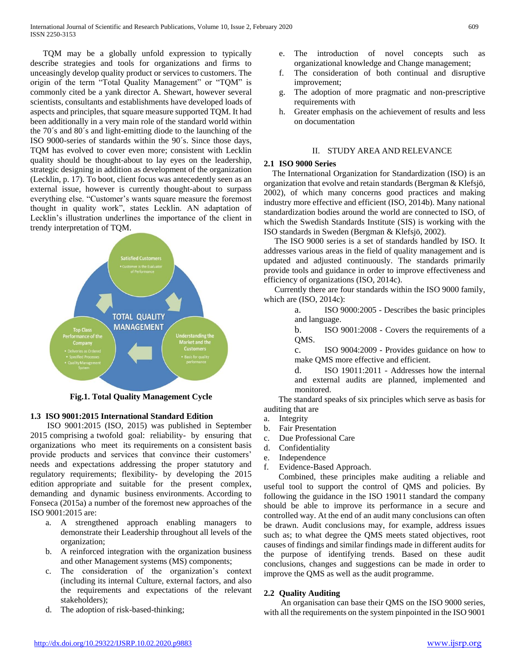TQM may be a globally unfold expression to typically describe strategies and tools for organizations and firms to unceasingly develop quality product or services to customers. The origin of the term "Total Quality Management" or "TQM" is commonly cited be a yank director A. Shewart, however several scientists, consultants and establishments have developed loads of aspects and principles, that square measure supported TQM. It had been additionally in a very main role of the standard world within the 70´s and 80´s and light-emitting diode to the launching of the ISO 9000-series of standards within the 90´s. Since those days, TQM has evolved to cover even more; consistent with Lecklin quality should be thought-about to lay eyes on the leadership, strategic designing in addition as development of the organization (Lecklin, p. 17). To boot, client focus was antecedently seen as an external issue, however is currently thought-about to surpass everything else. "Customer's wants square measure the foremost thought in quality work", states Lecklin. AN adaptation of Lecklin's illustration underlines the importance of the client in trendy interpretation of TQM.



**Fig.1. Total Quality Management Cycle**

# **1.3 ISO 9001:2015 International Standard Edition**

 ISO 9001:2015 (ISO, 2015) was published in September 2015 comprising a twofold goal: reliability- by ensuring that organizations who meet its requirements on a consistent basis provide products and services that convince their customers' needs and expectations addressing the proper statutory and regulatory requirements; flexibility- by developing the 2015 edition appropriate and suitable for the present complex, demanding and dynamic business environments. According to Fonseca (2015a) a number of the foremost new approaches of the ISO 9001:2015 are:

- a. A strengthened approach enabling managers to demonstrate their Leadership throughout all levels of the organization;
- b. A reinforced integration with the organization business and other Management systems (MS) components;
- c. The consideration of the organization's context (including its internal Culture, external factors, and also the requirements and expectations of the relevant stakeholders);
- d. The adoption of risk-based-thinking;
- e. The introduction of novel concepts such as organizational knowledge and Change management;
- f. The consideration of both continual and disruptive improvement;
- g. The adoption of more pragmatic and non-prescriptive requirements with
- h. Greater emphasis on the achievement of results and less on documentation

### II. STUDY AREA AND RELEVANCE

### **2.1 ISO 9000 Series**

 The International Organization for Standardization (ISO) is an organization that evolve and retain standards (Bergman & Klefsjö, 2002), of which many concerns good practices and making industry more effective and efficient (ISO, 2014b). Many national standardization bodies around the world are connected to ISO, of which the Swedish Standards Institute (SIS) is working with the ISO standards in Sweden (Bergman & Klefsjö, 2002).

 The ISO 9000 series is a set of standards handled by ISO. It addresses various areas in the field of quality management and is updated and adjusted continuously. The standards primarily provide tools and guidance in order to improve effectiveness and efficiency of organizations (ISO, 2014c).

 Currently there are four standards within the ISO 9000 family, which are (ISO, 2014c):

> a. ISO 9000:2005 - Describes the basic principles and language.

> b. ISO 9001:2008 - Covers the requirements of a QMS.

> c. ISO 9004:2009 - Provides guidance on how to make QMS more effective and efficient.

> d. ISO 19011:2011 - Addresses how the internal and external audits are planned, implemented and monitored.

 The standard speaks of six principles which serve as basis for auditing that are

- a. Integrity
- b. Fair Presentation
- c. Due Professional Care
- d. Confidentiality
- e. Independence
- f. Evidence-Based Approach.

 Combined, these principles make auditing a reliable and useful tool to support the control of QMS and policies. By following the guidance in the ISO 19011 standard the company should be able to improve its performance in a secure and controlled way. At the end of an audit many conclusions can often be drawn. Audit conclusions may, for example, address issues such as; to what degree the QMS meets stated objectives, root causes of findings and similar findings made in different audits for the purpose of identifying trends. Based on these audit conclusions, changes and suggestions can be made in order to improve the QMS as well as the audit programme.

# **2.2 Quality Auditing**

 An organisation can base their QMS on the ISO 9000 series, with all the requirements on the system pinpointed in the ISO 9001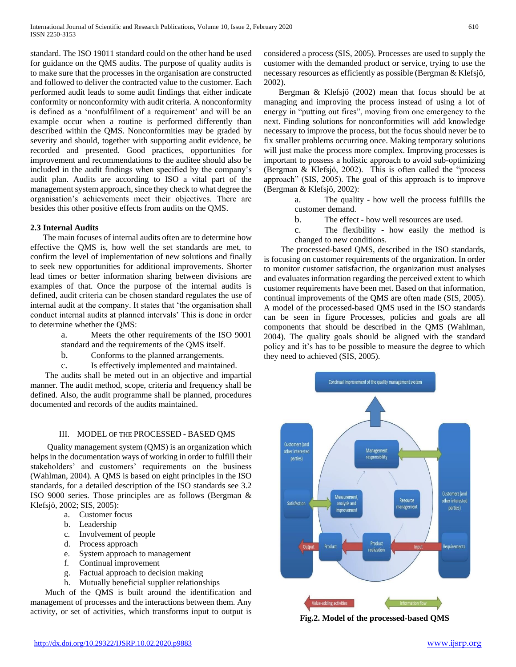standard. The ISO 19011 standard could on the other hand be used for guidance on the QMS audits. The purpose of quality audits is to make sure that the processes in the organisation are constructed and followed to deliver the contracted value to the customer. Each performed audit leads to some audit findings that either indicate conformity or nonconformity with audit criteria. A nonconformity is defined as a 'nonfulfilment of a requirement' and will be an example occur when a routine is performed differently than described within the QMS. Nonconformities may be graded by severity and should, together with supporting audit evidence, be recorded and presented. Good practices, opportunities for improvement and recommendations to the auditee should also be included in the audit findings when specified by the company's audit plan. Audits are according to ISO a vital part of the management system approach, since they check to what degree the organisation's achievements meet their objectives. There are besides this other positive effects from audits on the QMS.

## **2.3 Internal Audits**

 The main focuses of internal audits often are to determine how effective the QMS is, how well the set standards are met, to confirm the level of implementation of new solutions and finally to seek new opportunities for additional improvements. Shorter lead times or better information sharing between divisions are examples of that. Once the purpose of the internal audits is defined, audit criteria can be chosen standard regulates the use of internal audit at the company. It states that 'the organisation shall conduct internal audits at planned intervals' This is done in order to determine whether the QMS:

> a. Meets the other requirements of the ISO 9001 standard and the requirements of the QMS itself.

- b. Conforms to the planned arrangements.
- c. Is effectively implemented and maintained.

 The audits shall be meted out in an objective and impartial manner. The audit method, scope, criteria and frequency shall be defined. Also, the audit programme shall be planned, procedures documented and records of the audits maintained.

#### III. MODEL OF THE PROCESSED - BASED QMS

 Quality management system (QMS) is an organization which helps in the documentation ways of working in order to fulfill their stakeholders' and customers' requirements on the business (Wahlman, 2004). A QMS is based on eight principles in the ISO standards, for a detailed description of the ISO standards see 3.2 ISO 9000 series. Those principles are as follows (Bergman & Klefsjö, 2002; SIS, 2005):

- a. Customer focus
- b. Leadership
- c. Involvement of people
- d. Process approach
- e. System approach to management
- f. Continual improvement
- g. Factual approach to decision making
- h. Mutually beneficial supplier relationships

 Much of the QMS is built around the identification and management of processes and the interactions between them. Any activity, or set of activities, which transforms input to output is considered a process (SIS, 2005). Processes are used to supply the customer with the demanded product or service, trying to use the necessary resources as efficiently as possible (Bergman & Klefsjö, 2002).

 Bergman & Klefsjö (2002) mean that focus should be at managing and improving the process instead of using a lot of energy in "putting out fires", moving from one emergency to the next. Finding solutions for nonconformities will add knowledge necessary to improve the process, but the focus should never be to fix smaller problems occurring once. Making temporary solutions will just make the process more complex. Improving processes is important to possess a holistic approach to avoid sub-optimizing (Bergman & Klefsjö, 2002). This is often called the "process approach" (SIS, 2005). The goal of this approach is to improve (Bergman & Klefsjö, 2002):

> a. The quality - how well the process fulfills the customer demand.

- b. The effect how well resources are used.
- c. The flexibility how easily the method is changed to new conditions.

 The processed-based QMS, described in the ISO standards, is focusing on customer requirements of the organization. In order to monitor customer satisfaction, the organization must analyses and evaluates information regarding the perceived extent to which customer requirements have been met. Based on that information, continual improvements of the QMS are often made (SIS, 2005). A model of the processed-based QMS used in the ISO standards can be seen in figure Processes, policies and goals are all components that should be described in the QMS (Wahlman, 2004). The quality goals should be aligned with the standard policy and it's has to be possible to measure the degree to which they need to achieved (SIS, 2005).



**Fig.2. Model of the processed-based QMS**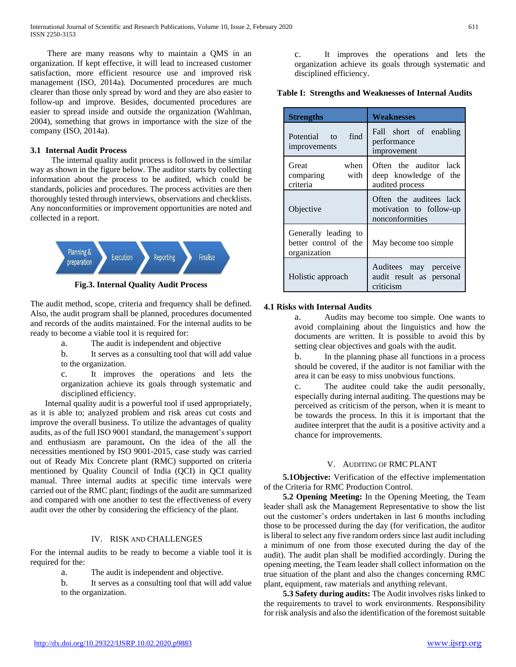There are many reasons why to maintain a QMS in an organization. If kept effective, it will lead to increased customer satisfaction, more efficient resource use and improved risk management (ISO, 2014a). Documented procedures are much clearer than those only spread by word and they are also easier to follow-up and improve. Besides, documented procedures are easier to spread inside and outside the organization (Wahlman, 2004), something that grows in importance with the size of the company (ISO, 2014a).

### **3.1 Internal Audit Process**

 The internal quality audit process is followed in the similar way as shown in the figure below. The auditor starts by collecting information about the process to be audited, which could be standards, policies and procedures. The process activities are then thoroughly tested through interviews, observations and checklists. Any nonconformities or improvement opportunities are noted and collected in a report.



**Fig.3. Internal Quality Audit Process**

The audit method, scope, criteria and frequency shall be defined. Also, the audit program shall be planned, procedures documented and records of the audits maintained. For the internal audits to be ready to become a viable tool it is required for:

a. The audit is independent and objective

b. It serves as a consulting tool that will add value to the organization.

c. It improves the operations and lets the organization achieve its goals through systematic and disciplined efficiency.

 Internal quality audit is a powerful tool if used appropriately, as it is able to; analyzed problem and risk areas cut costs and improve the overall business. To utilize the advantages of quality audits, as of the full ISO 9001 standard, the management's support and enthusiasm are paramount**.** On the idea of the all the necessities mentioned by ISO 9001-2015, case study was carried out of Ready Mix Concrete plant (RMC) supported on criteria mentioned by Quality Council of India (QCI) in QCI quality manual. Three internal audits at specific time intervals were carried out of the RMC plant; findings of the audit are summarized and compared with one another to test the effectiveness of every audit over the other by considering the efficiency of the plant.

# IV. RISK AND CHALLENGES

For the internal audits to be ready to become a viable tool it is required for the:

a. The audit is independent and objective.

b. It serves as a consulting tool that will add value to the organization.

c. It improves the operations and lets the organization achieve its goals through systematic and disciplined efficiency.

## **Table I: Strengths and Weaknesses of Internal Audits**

| <b>Strengths</b>                                              | Weaknesses                                                            |  |
|---------------------------------------------------------------|-----------------------------------------------------------------------|--|
| find<br>Potential to<br>improvements                          | Fall short of enabling<br>performance<br>improvement                  |  |
| when<br>Great<br>with<br>comparing<br>criteria                | Often the auditor lack<br>deep knowledge of the<br>audited process    |  |
| Objective                                                     | Often the auditees lack<br>motivation to follow-up<br>nonconformities |  |
| Generally leading to<br>better control of the<br>organization | May become too simple                                                 |  |
| Holistic approach                                             | Auditees may perceive<br>audit result as personal<br>criticism        |  |

## **4.1 Risks with Internal Audits**

a. Audits may become too simple. One wants to avoid complaining about the linguistics and how the documents are written. It is possible to avoid this by setting clear objectives and goals with the audit.

b. In the planning phase all functions in a process should be covered, if the auditor is not familiar with the area it can be easy to miss unobvious functions.

c. The auditee could take the audit personally, especially during internal auditing. The questions may be perceived as criticism of the person, when it is meant to be towards the process. In this it is important that the auditee interpret that the audit is a positive activity and a chance for improvements.

# V. AUDITING OF RMC PLANT

 **5.1Objective:** Verification of the effective implementation of the Criteria for RMC Production Control.

 **5.2 Opening Meeting:** In the Opening Meeting, the Team leader shall ask the Management Representative to show the list out the customer's orders undertaken in last 6 months including those to be processed during the day (for verification, the auditor is liberal to select any five random orders since last audit including a minimum of one from those executed during the day of the audit). The audit plan shall be modified accordingly. During the opening meeting, the Team leader shall collect information on the true situation of the plant and also the changes concerning RMC plant, equipment, raw materials and anything relevant.

 **5.3 Safety during audits:** The Audit involves risks linked to the requirements to travel to work environments. Responsibility for risk analysis and also the identification of the foremost suitable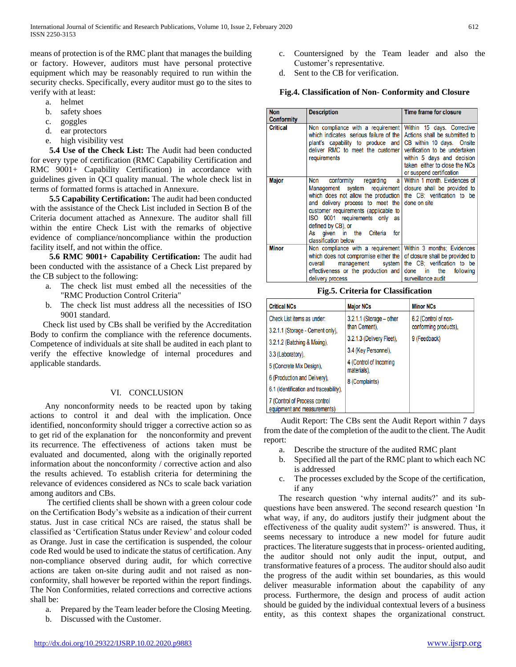means of protection is of the RMC plant that manages the building or factory. However, auditors must have personal protective equipment which may be reasonably required to run within the security checks. Specifically, every auditor must go to the sites to verify with at least:

- a. helmet
- b. safety shoes
- c. goggles
- d. ear protectors
- e. high visibility vest

 **5.4 Use of the Check List:** The Audit had been conducted for every type of certification (RMC Capability Certification and RMC 9001+ Capability Certification) in accordance with guidelines given in QCI quality manual. The whole check list in terms of formatted forms is attached in Annexure.

 **5.5 Capability Certification:** The audit had been conducted with the assistance of the Check List included in Section B of the Criteria document attached as Annexure. The auditor shall fill within the entire Check List with the remarks of objective evidence of compliance/noncompliance within the production facility itself, and not within the office.

 **5.6 RMC 9001+ Capability Certification:** The audit had been conducted with the assistance of a Check List prepared by the CB subject to the following:

- a. The check list must embed all the necessities of the "RMC Production Control Criteria"
- b. The check list must address all the necessities of ISO 9001 standard.

 Check list used by CBs shall be verified by the Accreditation Body to confirm the compliance with the reference documents. Competence of individuals at site shall be audited in each plant to verify the effective knowledge of internal procedures and applicable standards.

#### VI. CONCLUSION

 Any nonconformity needs to be reacted upon by taking actions to control it and deal with the implication. Once identified, nonconformity should trigger a corrective action so as to get rid of the explanation for the nonconformity and prevent its recurrence. The effectiveness of actions taken must be evaluated and documented, along with the originally reported information about the nonconformity / corrective action and also the results achieved. To establish criteria for determining the relevance of evidences considered as NCs to scale back variation among auditors and CBs.

 The certified clients shall be shown with a green colour code on the Certification Body's website as a indication of their current status. Just in case critical NCs are raised, the status shall be classified as 'Certification Status under Review' and colour coded as Orange. Just in case the certification is suspended, the colour code Red would be used to indicate the status of certification. Any non-compliance observed during audit, for which corrective actions are taken on-site during audit and not raised as nonconformity, shall however be reported within the report findings. The Non Conformities, related corrections and corrective actions shall be:

- a. Prepared by the Team leader before the Closing Meeting.
- b. Discussed with the Customer.
- c. Countersigned by the Team leader and also the Customer's representative.
- d. Sent to the CB for verification.

## **Fig.4. Classification of Non- Conformity and Closure**

| <b>Non</b>        | <b>Description</b>                                                                                                                                                                                                                                                                                                 | Time frame for closure                                                                                                                                                                                               |
|-------------------|--------------------------------------------------------------------------------------------------------------------------------------------------------------------------------------------------------------------------------------------------------------------------------------------------------------------|----------------------------------------------------------------------------------------------------------------------------------------------------------------------------------------------------------------------|
| <b>Conformity</b> |                                                                                                                                                                                                                                                                                                                    |                                                                                                                                                                                                                      |
| <b>Critical</b>   | Non compliance with a requirement<br>which indicates serious failure of the<br>plant's capability to produce and<br>deliver RMC to meet the customer<br>requirements                                                                                                                                               | Within 15 days. Corrective<br>Actions shall be submitted to<br>CB within 10 days. Onsite<br>verification to be undertaken<br>within 5 days and decision<br>taken either to close the NCs<br>or suspend certification |
| <b>Major</b>      | conformity regarding<br><b>Non</b><br>a l<br>Management system requirement<br>which does not allow the production<br>and delivery process to meet the<br>customer requirements (applicable to<br>ISO 9001 requirements only as<br>defined by CB), or<br>As aiven in the<br>Criteria<br>for<br>classification below | Within 1 month. Evidences of<br>closure shall be provided to<br>the CB: verification to be<br>done on site                                                                                                           |
| <b>Minor</b>      | Non compliance with a requirement<br>which does not compromise either the<br>overall<br>management system<br>effectiveness or the production and<br>delivery process                                                                                                                                               | Within 3 months; Evidences<br>of closure shall be provided to<br>the CB; verification to be<br>the<br>following<br>done in<br>surveillance audit                                                                     |

**Fig.5. Criteria for Classification**

| <b>Critical NCs</b>                                          | <b>Major NCs</b>                      | <b>Minor NCs</b>      |
|--------------------------------------------------------------|---------------------------------------|-----------------------|
| Check List items as under:                                   | $3.2.1.1$ (Storage – other            | 6.2 (Control of non-  |
| 3.2.1.1 (Storage - Cement only),                             | than Cement),                         | conforming products), |
| 3.2.1.2 (Batching & Mixing),                                 | 3.2.1.3 (Delivery Fleet).             | 9 (Feedback)          |
| 3.3 (Laboratory),                                            | 3.4 (Key Personnel),                  |                       |
| 5 (Concrete Mix Design).                                     | 4 (Control of Incoming<br>materials). |                       |
| 6 (Production and Delivery),                                 | 8 (Complaints)                        |                       |
| 6.1 (Identification and traceability),                       |                                       |                       |
| 7 (Control of Process control<br>equipment and measurements) |                                       |                       |

 Audit Report: The CBs sent the Audit Report within 7 days from the date of the completion of the audit to the client. The Audit report:

- a. Describe the structure of the audited RMC plant
- b. Specified all the part of the RMC plant to which each NC is addressed
- c. The processes excluded by the Scope of the certification, if any

 The research question 'why internal audits?' and its subquestions have been answered. The second research question 'In what way, if any, do auditors justify their judgment about the effectiveness of the quality audit system?' is answered. Thus, it seems necessary to introduce a new model for future audit practices. The literature suggests that in process- oriented auditing, the auditor should not only audit the input, output, and transformative features of a process. The auditor should also audit the progress of the audit within set boundaries, as this would deliver measurable information about the capability of any process. Furthermore, the design and process of audit action should be guided by the individual contextual levers of a business entity, as this context shapes the organizational construct.